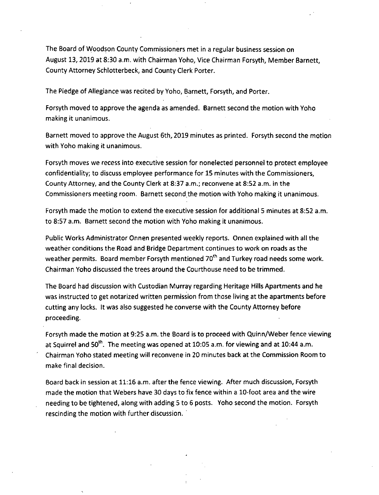The Board of Woodson County Commissioners met in a regular business session on August 13, 2019 at 8:30 a.m. with Chairman Yoho, Vice Chairman Forsyth, Member Barnett, County Attorney Schlotterbeck, and County Clerk Porter.

The Pledge of Allegiance was recited by Yoho, Barnett, Forsyth, and Porter.

Forsyth moved to approve the agenda as amended. Barnett second the motion with Yoho making it unanimous.

Barnett moved to approve the August 6th, 2019 minutes as printed. Forsyth second the motion with Yoho making it unanimous.

Forsyth moves we recess into executive session for nonelected personnel to protect employee confidentiality; to discuss employee performance for 15 minutes with the Commissioners, County Attorney, and the County Clerk at 8:37 a.m.; reconvene at 8:52 a.m. in the Commissioners meeting room. Barnett second the motion with Yoho making it unanimous.

Forsyth made the motion to extend the executive session for additional 5 minutes at 8:52 a.m. to 8:57 a.m. Barnett second the motion with Yoho making it unanimous.

Public Works Administrator Onnen presented weekly reports. Onnen explained with all the weather conditions the Road and Bridge Department continues to work on roads as the weather permits. Board member Forsyth mentioned 70<sup>th</sup> and Turkey road needs some work. Chairman Yoho discussed the trees around the Courthouse need to be trimmed.

The Board had discussion with Custodian Murray regarding Heritage Hills Apartments and he was instructed to get notarized written permission from those living at the apartments before cutting any locks. It was also suggested he converse with the County Attorney before proceeding.

Forsyth made the motion at 9:25 a.m. the Board is to proceed with Quinn/Weber fence viewing at Squirrel and  $50^{th}$ . The meeting was opened at 10:05 a.m. for viewing and at 10:44 a.m. Chairman Yoho stated meeting will reconvene in 20 minutes back at the Commission Room to make final decision.

Board back in session at 11:16 a.m. after the fence viewing. After much discussion, Forsyth made the motion that Webers have 30 days to fix fence within a 10-foot area and the wire needing to be tightened, along with adding 5 to 6 posts. Yoho second the motion. Forsyth rescinding the motion with further discussion.